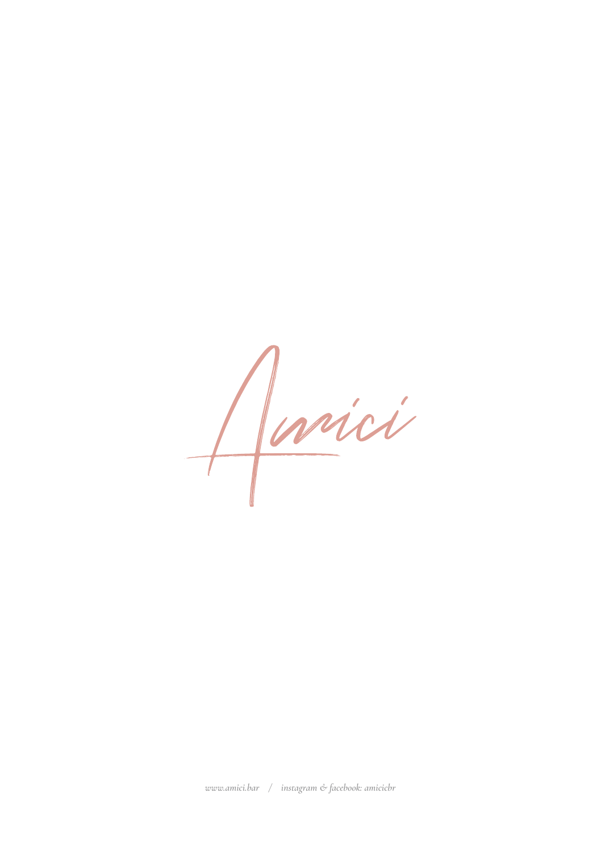Jarici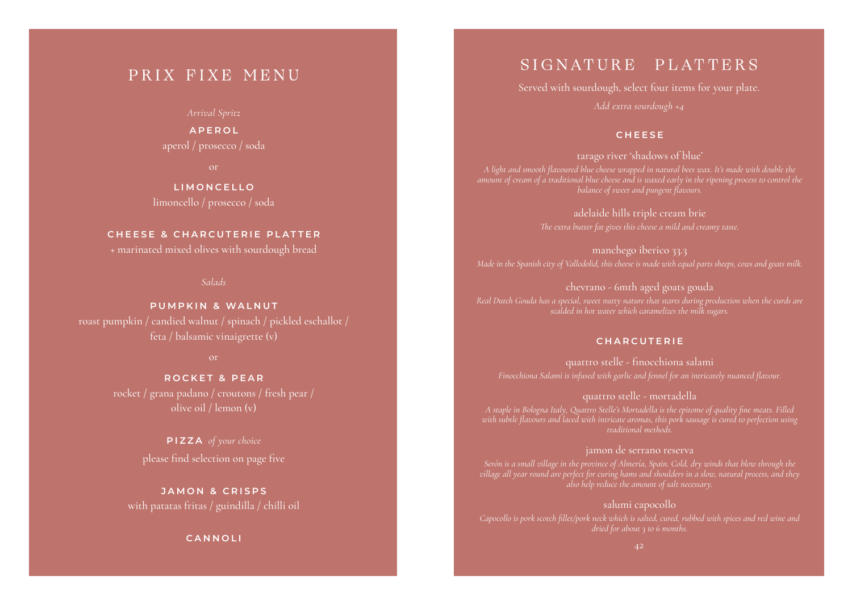#### PRIX FIXE MENU

**A P E R O L**  aperol / prosecco / soda

**LIMONCELLO** limoncello / prosecco / soda

#### **CHEESE & CHARCUTERIE PLATTER**

+ marinated mixed olives with sourdough bread

#### *Salads*

**PUMPKIN & WALNUT** roast pumpkin / candied walnut / spinach / pickled eschallot / feta / balsamic vinaigrette (v)

**ROCKET & PEAR** rocket / grana padano / croutons / fresh pear / olive oil / lemon (v)

> **PIZZA** *of your choice* please find selection on page five

**JAMON & CRISPS** with patatas fritas / guindilla / chilli oil

**CANNOLI**

*main menu available till 9pm / 10% surcharge applies on sundays and public holidays main menu available till 9pm / 10% surcharge applies on sundays and public holidays*

#### SIGNATURE PLATTERS

Served with sourdough, select four items for your plate. *Add extra sourdough +4*

#### **CHEESE**

tarago river 'shadows of blue' *A light and smooth flavoured blue cheese wrapped in natural bees wax. It's made with double the amount of cream of a traditional blue cheese and is waxed early in the ripening process to control the balance of sweet and pungent flavours.*

> adelaide hills triple cream brie *The extra butter fat gives this cheese a mild and creamy taste.*

manchego iberico 33.3 *Made in the Spanish city of Vallodolid, this cheese is made with equal parts sheeps, cows and goats milk.*

chevrano - 6mth aged goats gouda *Real Dutch Gouda has a special, sweet nutty nature that starts during production when the curds are* 

#### **CHARCUTERIE**

quattro stelle - finocchiona salami *Finocchiona Salami is infused with garlic and fennel for an intricately nuanced flavour.* 

quattro stelle - mortadella *A staple in Bologna Italy, Quattro Stelle's Mortadella is the epitome of quality fine meats. Filled traditional methods.* 

#### jamon de serrano reserva

*Serón is a small village in the province of Almería, Spain. Cold, dry winds that blow through the village all year round are perfect for curing hams and shoulders in a slow, natural process, and they also help reduce the amount of salt necessary.*

salumi capocollo

*dried for about 3 to 6 months.*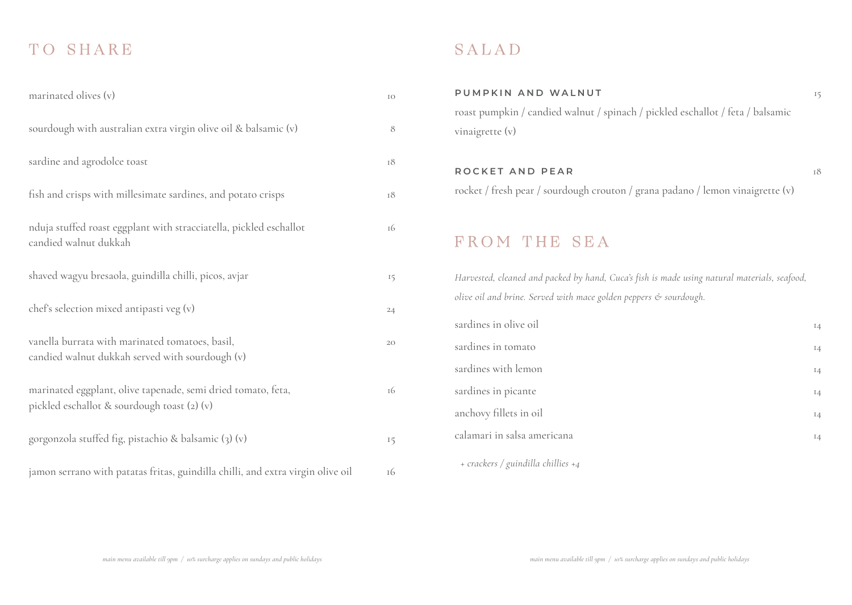### TO SHARE

| marinated olives (v)                                                                                        | IO |
|-------------------------------------------------------------------------------------------------------------|----|
| sourdough with australian extra virgin olive oil & balsamic (v)                                             | 8  |
| sardine and agrodolce toast                                                                                 | 18 |
| fish and crisps with millesimate sardines, and potato crisps                                                | 18 |
| nduja stuffed roast eggplant with stracciatella, pickled eschallot<br>candied walnut dukkah                 | 16 |
| shaved wagyu bresaola, guindilla chilli, picos, avjar                                                       | 15 |
| chef's selection mixed antipasti veg (v)                                                                    | 24 |
| vanella burrata with marinated tomatoes, basil,<br>candied walnut dukkah served with sourdough (v)          | 20 |
| marinated eggplant, olive tapenade, semi dried tomato, feta,<br>pickled eschallot & sourdough toast (2) (v) | 16 |
| gorgonzola stuffed fig, pistachio & balsamic (3) (v)                                                        | 15 |
| jamon serrano with patatas fritas, guindilla chilli, and extra virgin olive oil                             | 16 |

### SALAD

# **PUMPKIN AND WALNUT** 15 roast pumpkin / candied walnut / spinach / pickled eschallot / feta / balsamic vinaigrette (v) **ROCKET AND PEAR 18** rocket / fresh pear / sourdough crouton / grana padano / lemon vinaigrette (v) FROM THE SEA *Harvested, cleaned and packed by hand, Cuca's fish is made using natural materials, seafood, olive oil and brine. Served with mace golden peppers & sourdough.* sardines in olive oil sardines in tomato 14 sardines with lemon 14 sardines in picante 14 anchovy fillets in oil calamari in salsa americana 14 *+ crackers / guindilla chillies +4*

*main menu available till 9pm / 10% surcharge applies on sundays and public holidays main menu available till 9pm / 10% surcharge applies on sundays and public holidays*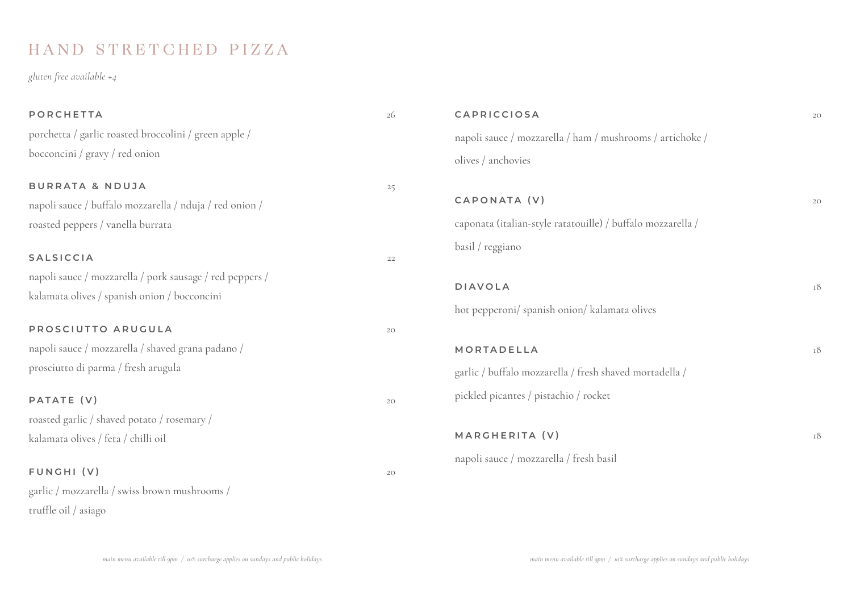### HAND STRETCHED PIZZA

*gluten free available +4*

| <b>PORCHETTA</b>                                         | 26 | CAPRICCIOSA                                                 | 2 <sub>C</sub> |
|----------------------------------------------------------|----|-------------------------------------------------------------|----------------|
| porchetta / garlic roasted broccolini / green apple /    |    | napoli sauce / mozzarella / ham / mushrooms / artichoke /   |                |
| bocconcini / gravy / red onion                           |    | olives / anchovies                                          |                |
| <b>BURRATA &amp; NDUJA</b>                               | 25 |                                                             |                |
| napoli sauce / buffalo mozzarella / nduja / red onion /  |    | CAPONATA (V)                                                | 2C             |
| roasted peppers / vanella burrata                        |    | caponata (italian-style ratatouille) / buffalo mozzarella / |                |
| <b>SALSICCIA</b>                                         | 22 | basil / reggiano                                            |                |
| napoli sauce / mozzarella / pork sausage / red peppers / |    |                                                             |                |
| kalamata olives / spanish onion / bocconcini             |    | <b>DIAVOLA</b>                                              | 18             |
|                                                          |    | hot pepperoni/ spanish onion/ kalamata olives               |                |
| PROSCIUTTO ARUGULA                                       | 20 |                                                             |                |
| napoli sauce / mozzarella / shaved grana padano /        |    | MORTADELLA                                                  | īδ             |
| prosciutto di parma / fresh arugula                      |    | garlic / buffalo mozzarella / fresh shaved mortadella /     |                |
| PATATE (V)                                               | 20 | pickled picantes / pistachio / rocket                       |                |
| roasted garlic / shaved potato / rosemary /              |    |                                                             |                |
| kalamata olives / feta / chilli oil                      |    | MARGHERITA (V)                                              | Iδ             |
|                                                          |    | napoli sauce / mozzarella / fresh basil                     |                |
| FUNGHI (V)                                               | 20 |                                                             |                |
| garlic / mozzarella / swiss brown mushrooms /            |    |                                                             |                |
| truffle oil / asiago                                     |    |                                                             |                |
|                                                          |    |                                                             |                |

*main menu available till 9pm / 10% surcharge applies on sundays and public holidays main menu available till 9pm / 10% surcharge applies on sundays and public holidays*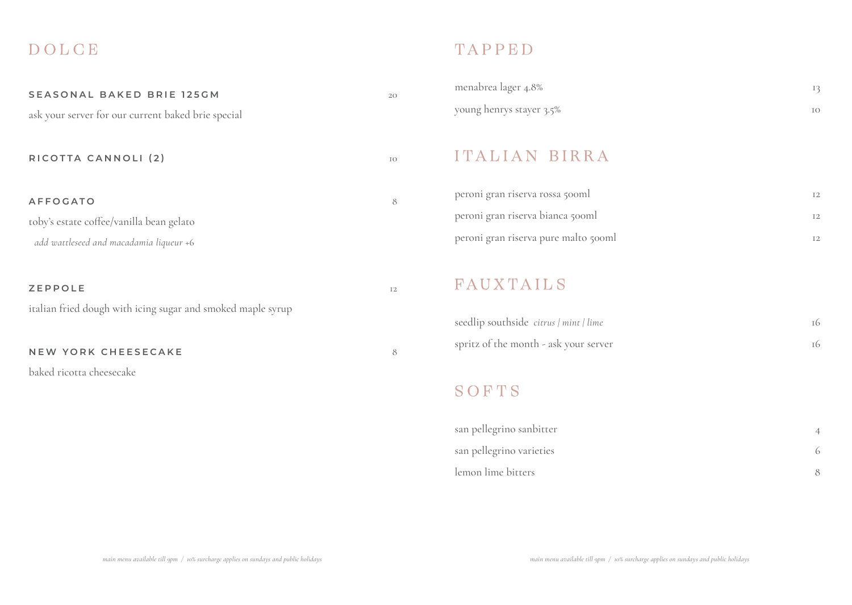### DOLCE

| SEASONAL BAKED BRIE 125GM                                   | 20             |
|-------------------------------------------------------------|----------------|
| ask your server for our current baked brie special          |                |
|                                                             |                |
| RICOTTA CANNOLI (2)                                         | IO             |
|                                                             |                |
| <b>AFFOGATO</b>                                             | 8              |
| toby's estate coffee/vanilla bean gelato                    |                |
| add wattleseed and macadamia liqueur +6                     |                |
|                                                             |                |
| <b>ZEPPOLE</b>                                              | I <sub>2</sub> |
| italian fried dough with icing sugar and smoked maple syrup |                |
|                                                             |                |
| <b>NEW YORK CHEESECAKE</b>                                  | 8              |
| baked ricotta cheesecake                                    |                |

### TAPPED

| menabrea lager 4.8%      |  |
|--------------------------|--|
| young henrys stayer 3.5% |  |

#### ITALIAN BIRRA

| peroni gran riserva rossa 500ml      |  |
|--------------------------------------|--|
| peroni gran riserva bianca 500ml     |  |
| peroni gran riserva pure malto 500ml |  |

### FAUXTAILS

| seedlip southside citrus / mint / lime |  |
|----------------------------------------|--|
| spritz of the month - ask your server  |  |

#### SOFTS

| san pellegrino sanbitter |  |
|--------------------------|--|
| san pellegrino varieties |  |
| lemon lime bitters       |  |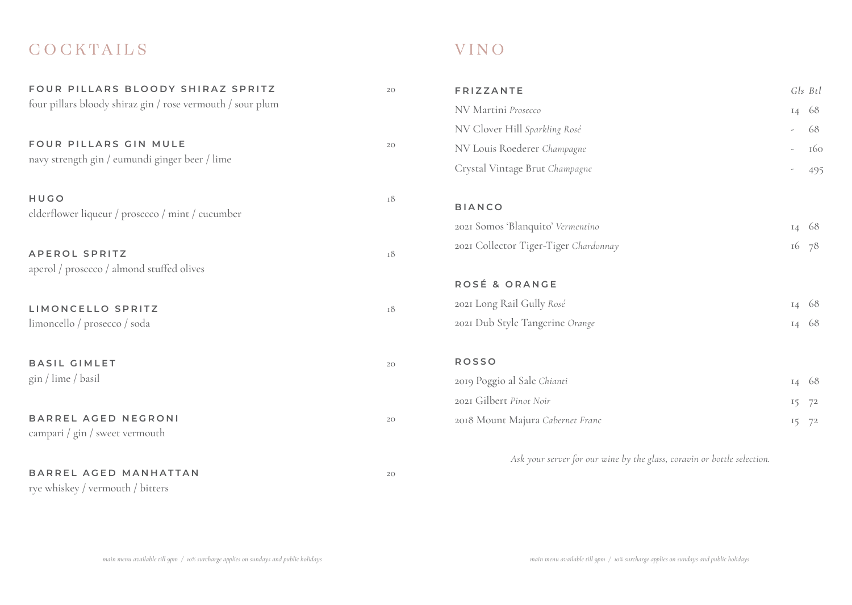### **COCKTAILS**

| FOUR PILLARS BLOODY SHIRAZ SPRITZ                          | 20 | <b>FRIZZANTE</b>                  |
|------------------------------------------------------------|----|-----------------------------------|
| four pillars bloody shiraz gin / rose vermouth / sour plum |    | NV Martini Prosecco               |
|                                                            |    | NV Clover Hill Sparkling Rosé     |
| FOUR PILLARS GIN MULE                                      | 20 | NV Louis Roederer Champagne       |
| navy strength gin / eumundi ginger beer / lime             |    | Crystal Vintage Brut Champagne    |
| HUGO                                                       | 18 | <b>BIANCO</b>                     |
| elderflower liqueur / prosecco / mint / cucumber           |    | 2021 Somos 'Blanquito' Vermentino |
|                                                            |    | 2021 Collector Tiger-Tiger Chard  |
| <b>APEROL SPRITZ</b>                                       | 18 |                                   |
| aperol / prosecco / almond stuffed olives                  |    | ROSÉ & ORANGE                     |
|                                                            |    |                                   |
| LIMONCELLO SPRITZ                                          | 18 | 2021 Long Rail Gully Rosé         |
| limoncello / prosecco / soda                               |    | 2021 Dub Style Tangerine Orange   |
| <b>BASIL GIMLET</b>                                        | 20 | <b>ROSSO</b>                      |
| gin / lime / basil                                         |    | 2019 Poggio al Sale Chianti       |
|                                                            |    | 2021 Gilbert Pinot Noir           |
| <b>BARREL AGED NEGRONI</b>                                 | 20 | 2018 Mount Majura Cabernet Fran   |
| campari / gin / sweet vermouth                             |    |                                   |
|                                                            |    | Ask your server for our           |
| BARREL AGED MANHATTAN                                      | 20 |                                   |
| rye whiskey / vermouth / bitters                           |    |                                   |

## V I N O

| <b>FRIZZANTE</b>                      |                          | Gls Btl |
|---------------------------------------|--------------------------|---------|
| NV Martini Prosecco                   | I4                       | 68      |
| NV Clover Hill Sparkling Rosé         |                          | 68      |
| NV Louis Roederer Champagne           | -                        | 160     |
| Crystal Vintage Brut Champagne        | $\overline{\phantom{a}}$ | 495     |
| <b>BIANCO</b>                         |                          |         |
| 2021 Somos 'Blanquito' Vermentino     | 14                       | 68      |
| 2021 Collector Tiger-Tiger Chardonnay | 16                       | 78      |
|                                       |                          |         |
| ROSÉ & ORANGE                         |                          |         |
| 2021 Long Rail Gully Rosé             | I4                       | 68      |
| 2021 Dub Style Tangerine Orange       | 14 68                    |         |
|                                       |                          |         |
| <b>ROSSO</b>                          |                          |         |
| 2019 Poggio al Sale Chianti           | 14                       | 68      |
| 2021 Gilbert Pinot Noir               | 15                       | 72      |
| 2018 Mount Majura Cabernet Franc      | 15                       | 72      |
|                                       |                          |         |

*Ask your server for our wine by the glass, coravin or bottle selection.*

*main menu available till 9pm / 10% surcharge applies on sundays and public holidays main menu available till 9pm / 10% surcharge applies on sundays and public holidays*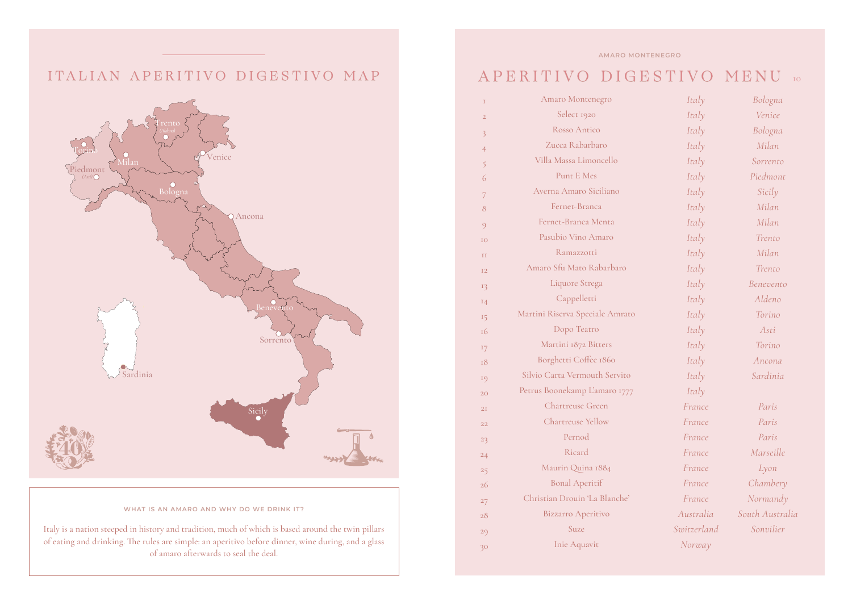#### ITALIAN APERITIVO DIGESTIVO MAP



#### **WHAT IS AN AMARO AND WHY DO WE DRINK IT?**

Italy is a nation steeped in history and tradition, much of which is based around the twin pillars of eating and drinking. The rules are simple: an aperitivo before dinner, wine during, and a glass of amaro afterwards to seal the deal.

#### **AMARO MONTENEGRO**

### APERITIVO DIGESTIVO MENU <sup>10</sup>

| I              | Amaro Montenegro                | Italy       | Bologna         |
|----------------|---------------------------------|-------------|-----------------|
| $\overline{2}$ | Select 1920                     | Italy       | Venice          |
| 3              | Rosso Antico                    | Italy       | Bologna         |
| $\overline{4}$ | Zucca Rabarbaro                 | Italy       | Milan           |
| 5              | Villa Massa Limoncello          | Italy       | Sorrento        |
| 6              | Punt E Mes                      | Italy       | Piedmont        |
| 7              | Averna Amaro Siciliano          | Italy       | Sicily          |
| 8              | Fernet-Branca                   | Italy       | Milan           |
| $\circ$        | Fernet-Branca Menta             | Italy       | Milan           |
| IO             | Pasubio Vino Amaro              | Italy       | Trento          |
| II             | Ramazzotti                      | Italy       | Milan           |
| <b>I2</b>      | Amaro Sfu Mato Rabarbaro        | Italy       | Trento          |
| 13             | Liquore Strega                  | Italy       | Benevento       |
| 14             | Cappelletti                     | Italy       | Aldeno          |
| 15             | Martini Riserva Speciale Amrato | Italy       | Torino          |
| 16             | Dopo Teatro                     | Italy       | Asti            |
| 17             | Martini 1872 Bitters            | Italy       | Torino          |
| 18             | Borghetti Coffee 1860           | Italy       | Ancona          |
| 19             | Silvio Carta Vermouth Servito   | Italy       | Sardinia        |
| 20             | Petrus Boonekamp L'amaro 1777   | Italy       |                 |
| 2I             | <b>Chartreuse Green</b>         | France      | Paris           |
| 22             | Chartreuse Yellow               | France      | Paris           |
| 23             | Pernod                          | France      | Paris           |
| 24             | Ricard                          | France      | Marseille       |
| 25             | Maurin Quina 1884               | France      | Lyon            |
| 26             | <b>Bonal Aperitif</b>           | France      | Chambery        |
| 27             | Christian Drouin 'La Blanche'   | France      | Normandy        |
| 28             | <b>Bizzarro Aperitivo</b>       | Australia   | South Australia |
| 29             | Suze                            | Switzerland | Sonvilier       |
| 30             | Inie Aquavit                    | Norway      |                 |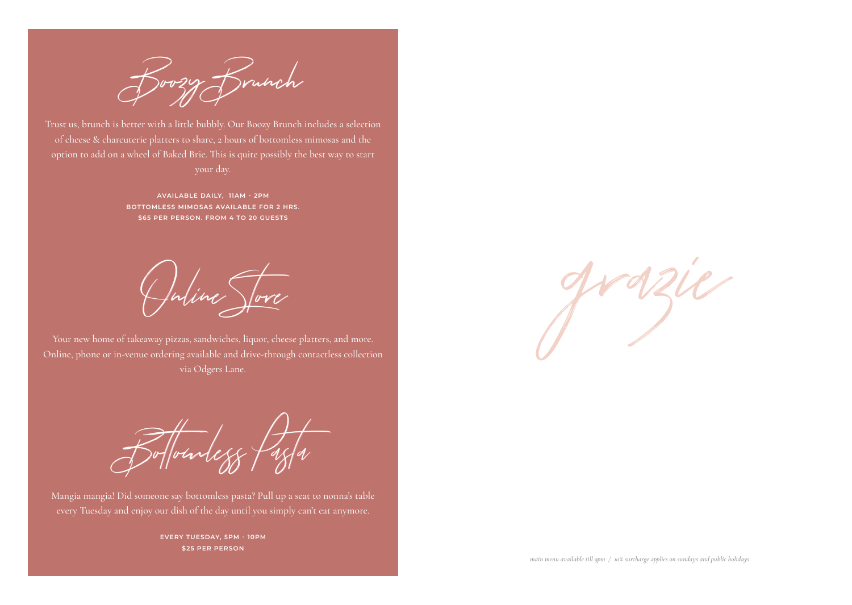

Trust us, brunch is better with a little bubbly. Our Boozy Brunch includes a selection of cheese & charcuterie platters to share, 2 hours of bottomless mimosas and the option to add on a wheel of Baked Brie. This is quite possibly the best way to start

> **AVAILABLE DAILY, 11AM - 2PM BOTTOMLESS MIMOSAS AVAILABLE FOR 2 HRS. \$65 PER PERSON. FROM 4 TO 20 GUESTS**

Online Store

Your new home of takeaway pizzas, sandwiches, liquor, cheese platters, and more. Online, phone or in-venue ordering available and drive-through contactless collection via Odgers Lane.

Bottomless Pasta

Mangia mangia! Did someone say bottomless pasta? Pull up a seat to nonna's table every Tuesday and enjoy our dish of the day until you simply can't eat anymore.

> **EVERY TUESDAY, 5PM - 10PM \$25 PER PERSON**

grazie